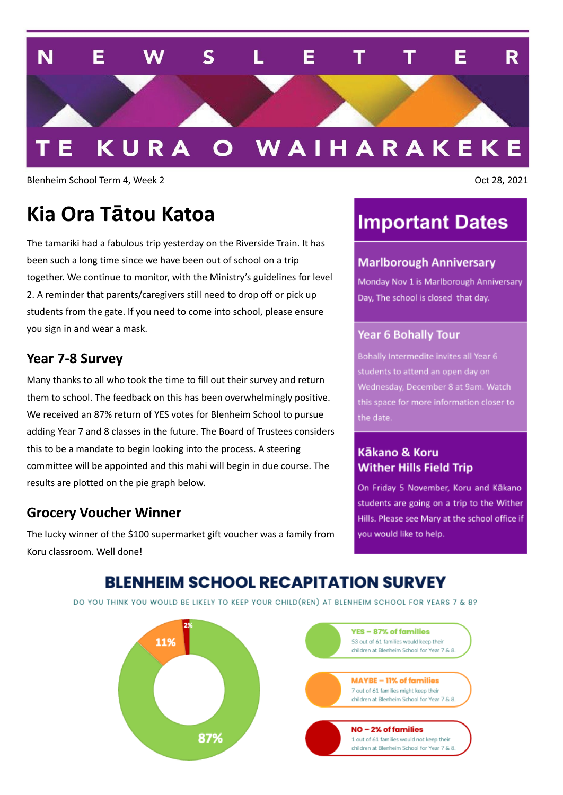

Blenheim School Term 4, Week 2 **Oct 28, 2021** 

## **Kia Ora Tātou Katoa**

The tamariki had a fabulous trip yesterday on the Riverside Train. It has been such a long time since we have been out of school on a trip together. We continue to monitor, with the Ministry's guidelines for level 2. A reminder that parents/caregivers still need to drop off or pick up students from the gate. If you need to come into school, please ensure you sign in and wear a mask.

#### **Year 7-8 Survey**

Many thanks to all who took the time to fill out their survey and return them to school. The feedback on this has been overwhelmingly positive. We received an 87% return of YES votes for Blenheim School to pursue adding Year 7 and 8 classes in the future. The Board of Trustees considers this to be a mandate to begin looking into the process. A steering committee will be appointed and this mahi will begin in due course. The results are plotted on the pie graph below.

### **Grocery Voucher Winner**

The lucky winner of the \$100 supermarket gift voucher was a family from Koru classroom. Well done!

### **Important Dates**

#### **Marlborough Anniversary**

Monday Nov 1 is Marlborough Anniversary Day, The school is closed that day.

#### **Year 6 Bohally Tour**

students to attend an open day on Wednesday, December 8 at 9am. Watch this space for more information closer to

#### Kākano & Koru **Wither Hills Field Trip**

On Friday 5 November, Koru and Kākano students are going on a trip to the Wither Hills. Please see Mary at the school office if you would like to help.

### **BLENHEIM SCHOOL RECAPITATION SURVEY**

DO YOU THINK YOU WOULD BE LIKELY TO KEEP YOUR CHILD(REN) AT BLENHEIM SCHOOL FOR YEARS 7 & 8?